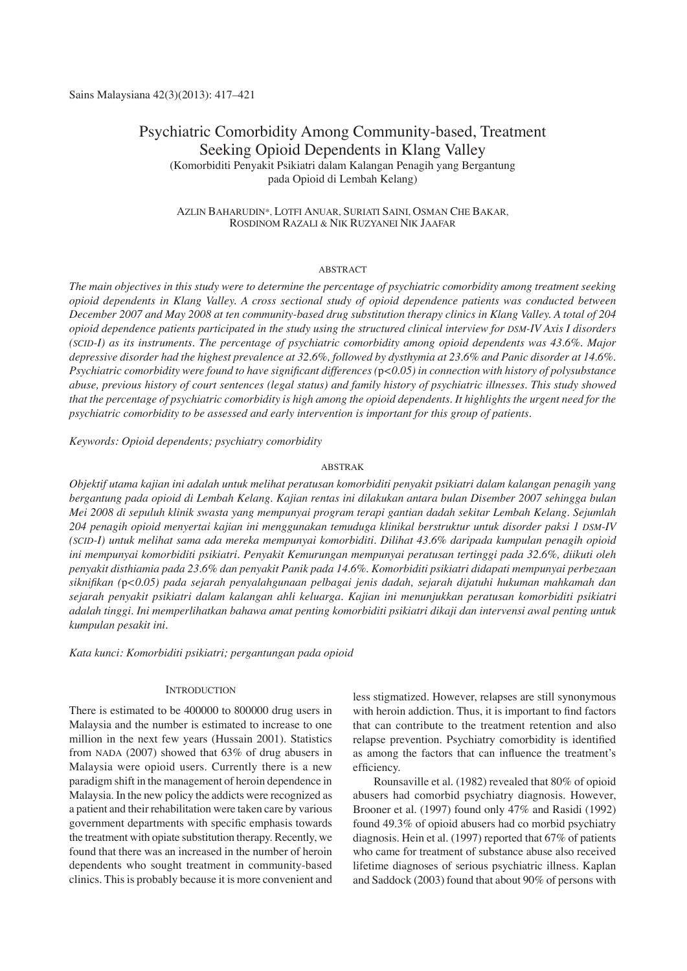# Psychiatric Comorbidity Among Community-based, Treatment Seeking Opioid Dependents in Klang Valley (Komorbiditi Penyakit Psikiatri dalam Kalangan Penagih yang Bergantung pada Opioid di Lembah Kelang)

## Azlin Baharudin\*, Lotfi Anuar, Suriati Saini, Osman Che Bakar, Rosdinom Razali & Nik Ruzyanei Nik Jaafar

#### ABSTRACT

*The main objectives in this study were to determine the percentage of psychiatric comorbidity among treatment seeking opioid dependents in Klang Valley. A cross sectional study of opioid dependence patients was conducted between December 2007 and May 2008 at ten community-based drug substitution therapy clinics in Klang Valley. A total of 204 opioid dependence patients participated in the study using the structured clinical interview for DSM-IV Axis I disorders (SCID-I) as its instruments. The percentage of psychiatric comorbidity among opioid dependents was 43.6%. Major depressive disorder had the highest prevalence at 32.6%, followed by dysthymia at 23.6% and Panic disorder at 14.6%. Psychiatric comorbidity were found to have significant differences (*p*<0.05) in connection with history of polysubstance abuse, previous history of court sentences (legal status) and family history of psychiatric illnesses. This study showed that the percentage of psychiatric comorbidity is high among the opioid dependents. It highlights the urgent need for the psychiatric comorbidity to be assessed and early intervention is important for this group of patients.*

*Keywords: Opioid dependents; psychiatry comorbidity* 

### ABSTRAK

*Objektif utama kajian ini adalah untuk melihat peratusan komorbiditi penyakit psikiatri dalam kalangan penagih yang bergantung pada opioid di Lembah Kelang. Kajian rentas ini dilakukan antara bulan Disember 2007 sehingga bulan Mei 2008 di sepuluh klinik swasta yang mempunyai program terapi gantian dadah sekitar Lembah Kelang. Sejumlah 204 penagih opioid menyertai kajian ini menggunakan temuduga klinikal berstruktur untuk disorder paksi 1 DSM-IV (SCID-I) untuk melihat sama ada mereka mempunyai komorbiditi. Dilihat 43.6% daripada kumpulan penagih opioid ini mempunyai komorbiditi psikiatri. Penyakit Kemurungan mempunyai peratusan tertinggi pada 32.6%, diikuti oleh penyakit disthiamia pada 23.6% dan penyakit Panik pada 14.6%. Komorbiditi psikiatri didapati mempunyai perbezaan siknifikan (*p*<0.05) pada sejarah penyalahgunaan pelbagai jenis dadah, sejarah dijatuhi hukuman mahkamah dan sejarah penyakit psikiatri dalam kalangan ahli keluarga. Kajian ini menunjukkan peratusan komorbiditi psikiatri adalah tinggi. Ini memperlihatkan bahawa amat penting komorbiditi psikiatri dikaji dan intervensi awal penting untuk kumpulan pesakit ini.*

*Kata kunci: Komorbiditi psikiatri; pergantungan pada opioid* 

## **INTRODUCTION**

There is estimated to be 400000 to 800000 drug users in Malaysia and the number is estimated to increase to one million in the next few years (Hussain 2001). Statistics from NADA (2007) showed that 63% of drug abusers in Malaysia were opioid users. Currently there is a new paradigm shift in the management of heroin dependence in Malaysia. In the new policy the addicts were recognized as a patient and their rehabilitation were taken care by various government departments with specific emphasis towards the treatment with opiate substitution therapy. Recently, we found that there was an increased in the number of heroin dependents who sought treatment in community-based clinics. This is probably because it is more convenient and

less stigmatized. However, relapses are still synonymous with heroin addiction. Thus, it is important to find factors that can contribute to the treatment retention and also relapse prevention. Psychiatry comorbidity is identified as among the factors that can influence the treatment's efficiency.

 Rounsaville et al. (1982) revealed that 80% of opioid abusers had comorbid psychiatry diagnosis. However, Brooner et al. (1997) found only 47% and Rasidi (1992) found 49.3% of opioid abusers had co morbid psychiatry diagnosis. Hein et al. (1997) reported that 67% of patients who came for treatment of substance abuse also received lifetime diagnoses of serious psychiatric illness. Kaplan and Saddock (2003) found that about 90% of persons with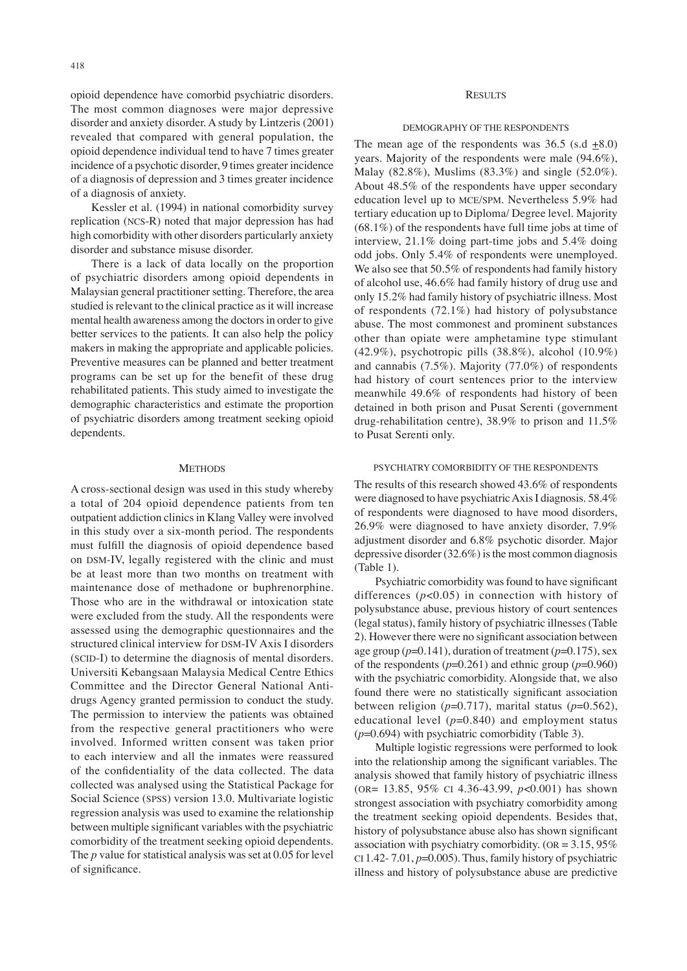opioid dependence have comorbid psychiatric disorders. The most common diagnoses were major depressive disorder and anxiety disorder. A study by Lintzeris (2001) revealed that compared with general population, the opioid dependence individual tend to have 7 times greater incidence of a psychotic disorder, 9 times greater incidence of a diagnosis of depression and 3 times greater incidence of a diagnosis of anxiety.

Kessler et al. (1994) in national comorbidity survey replication (NCS-R) noted that major depression has had high comorbidity with other disorders particularly anxiety disorder and substance misuse disorder.

There is a lack of data locally on the proportion of psychiatric disorders among opioid dependents in Malaysian general practitioner setting. Therefore, the area studied is relevant to the clinical practice as it will increase mental health awareness among the doctors in order to give better services to the patients. It can also help the policy makers in making the appropriate and applicable policies. Preventive measures can be planned and better treatment programs can be set up for the benefit of these drug rehabilitated patients. This study aimed to investigate the demographic characteristics and estimate the proportion of psychiatric disorders among treatment seeking opioid dependents.

#### **METHODS**

A cross-sectional design was used in this study whereby a total of 204 opioid dependence patients from ten outpatient addiction clinics in Klang Valley were involved in this study over a six-month period. The respondents must fulfill the diagnosis of opioid dependence based on DSM-IV, legally registered with the clinic and must be at least more than two months on treatment with maintenance dose of methadone or buphrenorphine. Those who are in the withdrawal or intoxication state were excluded from the study. All the respondents were assessed using the demographic questionnaires and the structured clinical interview for DSM-IV Axis I disorders (SCID-I) to determine the diagnosis of mental disorders. Universiti Kebangsaan Malaysia Medical Centre Ethics Committee and the Director General National Antidrugs Agency granted permission to conduct the study. The permission to interview the patients was obtained from the respective general practitioners who were involved. Informed written consent was taken prior to each interview and all the inmates were reassured of the confidentiality of the data collected. The data collected was analysed using the Statistical Package for Social Science (SPSS) version 13.0. Multivariate logistic regression analysis was used to examine the relationship between multiple significant variables with the psychiatric comorbidity of the treatment seeking opioid dependents. The *p* value for statistical analysis was set at 0.05 for level of significance.

### **RESULTS**

#### Demography of the Respondents

The mean age of the respondents was  $36.5$  (s.d  $\pm 8.0$ ) years. Majority of the respondents were male (94.6%), Malay (82.8%), Muslims (83.3%) and single (52.0%). About 48.5% of the respondents have upper secondary education level up to MCE/SPM. Nevertheless 5.9% had tertiary education up to Diploma/ Degree level. Majority (68.1%) of the respondents have full time jobs at time of interview, 21.1% doing part-time jobs and 5.4% doing odd jobs. Only 5.4% of respondents were unemployed. We also see that 50.5% of respondents had family history of alcohol use, 46.6% had family history of drug use and only 15.2% had family history of psychiatric illness. Most of respondents (72.1%) had history of polysubstance abuse. The most commonest and prominent substances other than opiate were amphetamine type stimulant (42.9%), psychotropic pills (38.8%), alcohol (10.9%) and cannabis (7.5%). Majority (77.0%) of respondents had history of court sentences prior to the interview meanwhile 49.6% of respondents had history of been detained in both prison and Pusat Serenti (government drug-rehabilitation centre), 38.9% to prison and 11.5% to Pusat Serenti only.

#### Psychiatry Comorbidity of the Respondents

The results of this research showed 43.6% of respondents were diagnosed to have psychiatric Axis I diagnosis. 58.4% of respondents were diagnosed to have mood disorders, 26.9% were diagnosed to have anxiety disorder, 7.9% adjustment disorder and 6.8% psychotic disorder. Major depressive disorder (32.6%) is the most common diagnosis (Table 1).

Psychiatric comorbidity was found to have significant differences (*p*<0.05) in connection with history of polysubstance abuse, previous history of court sentences (legal status), family history of psychiatric illnesses (Table 2). However there were no significant association between age group  $(p=0.141)$ , duration of treatment  $(p=0.175)$ , sex of the respondents  $(p=0.261)$  and ethnic group  $(p=0.960)$ with the psychiatric comorbidity. Alongside that, we also found there were no statistically significant association between religion  $(p=0.717)$ , marital status  $(p=0.562)$ , educational level  $(p=0.840)$  and employment status (*p*=0.694) with psychiatric comorbidity (Table 3).

Multiple logistic regressions were performed to look into the relationship among the significant variables. The analysis showed that family history of psychiatric illness (OR= 13.85, 95% CI 4.36-43.99, *p*<0.001) has shown strongest association with psychiatry comorbidity among the treatment seeking opioid dependents. Besides that, history of polysubstance abuse also has shown significant association with psychiatry comorbidity. ( $OR = 3.15, 95\%$ ) CI 1.42- 7.01, *p*=0.005). Thus, family history of psychiatric illness and history of polysubstance abuse are predictive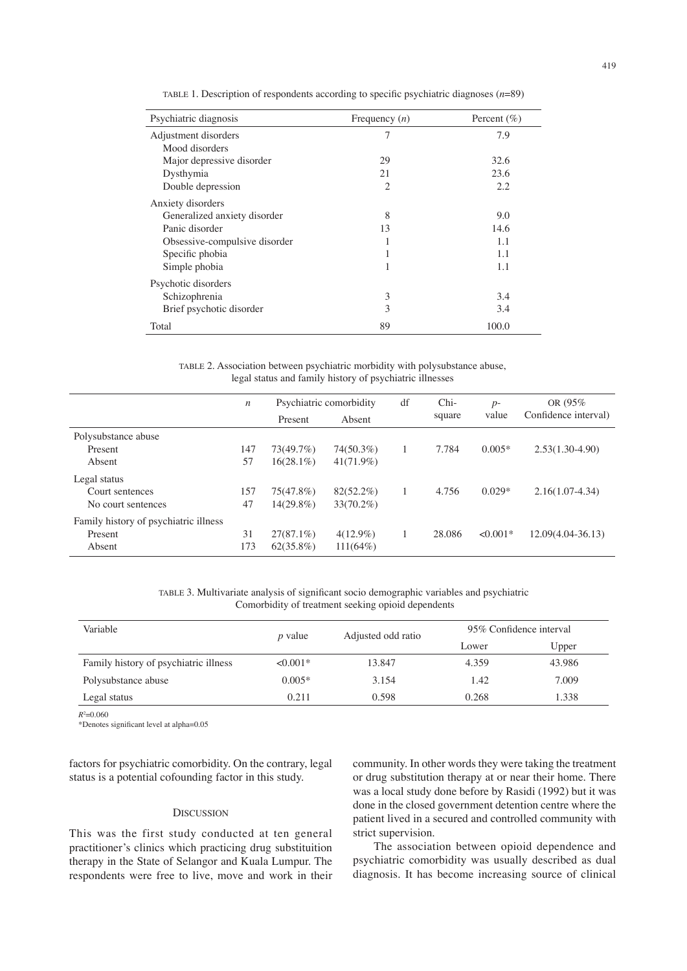| Psychiatric diagnosis         | Frequency $(n)$ | Percent $(\% )$ |
|-------------------------------|-----------------|-----------------|
| Adjustment disorders          | 7               | 7.9             |
| Mood disorders                |                 |                 |
| Major depressive disorder     | 29              | 32.6            |
| Dysthymia                     | 21              | 23.6            |
| Double depression             | $\overline{c}$  | 2.2             |
| Anxiety disorders             |                 |                 |
| Generalized anxiety disorder  | 8               | 9.0             |
| Panic disorder                | 13              | 14.6            |
| Obsessive-compulsive disorder |                 | 1.1             |
| Specific phobia               | 1               | 1.1             |
| Simple phobia                 | 1               | 1.1             |
| Psychotic disorders           |                 |                 |
| Schizophrenia                 | 3               | 3.4             |
| Brief psychotic disorder      | 3               | 3.4             |
| Total                         | 89              | 100.0           |

TABLE 1. Description of respondents according to specific psychiatric diagnoses (*n*=89)

TABLE 2. Association between psychiatric morbidity with polysubstance abuse, legal status and family history of psychiatric illnesses

|                                       | $\boldsymbol{n}$ | Psychiatric comorbidity |              | df | Chi-   | $p-$       | OR (95%)             |
|---------------------------------------|------------------|-------------------------|--------------|----|--------|------------|----------------------|
|                                       |                  | Present                 | Absent       |    | square | value      | Confidence interval) |
| Polysubstance abuse                   |                  |                         |              |    |        |            |                      |
| Present                               | 147              | 73(49.7%)               | 74(50.3%)    |    | 7.784  | $0.005*$   | $2.53(1.30-4.90)$    |
| Absent                                | 57               | $16(28.1\%)$            | $41(71.9\%)$ |    |        |            |                      |
| Legal status                          |                  |                         |              |    |        |            |                      |
| Court sentences                       | 157              | 75(47.8%)               | $82(52.2\%)$ |    | 4.756  | $0.029*$   | $2.16(1.07-4.34)$    |
| No court sentences                    | 47               | $14(29.8\%)$            | $33(70.2\%)$ |    |        |            |                      |
| Family history of psychiatric illness |                  |                         |              |    |        |            |                      |
| Present                               | 31               | $27(87.1\%)$            | $4(12.9\%)$  |    | 28.086 | $< 0.001*$ | $12.09(4.04-36.13)$  |
| Absent                                | 173              | $62(35.8\%)$            | $111(64\%)$  |    |        |            |                      |

TABLE 3. Multivariate analysis of significant socio demographic variables and psychiatric Comorbidity of treatment seeking opioid dependents

| Variable                              | $p$ value  | Adjusted odd ratio | 95% Confidence interval |        |  |
|---------------------------------------|------------|--------------------|-------------------------|--------|--|
|                                       |            |                    | Lower                   | Upper  |  |
| Family history of psychiatric illness | $< 0.001*$ | 13.847             | 4.359                   | 43.986 |  |
| Polysubstance abuse                   | $0.005*$   | 3.154              | 1.42                    | 7.009  |  |
| Legal status                          | 0.211      | 0.598              | 0.268                   | 1.338  |  |

*R*2 =0.060

\*Denotes significant level at alpha=0.05

factors for psychiatric comorbidity. On the contrary, legal status is a potential cofounding factor in this study.

# **DISCUSSION**

This was the first study conducted at ten general practitioner's clinics which practicing drug substituition therapy in the State of Selangor and Kuala Lumpur. The respondents were free to live, move and work in their community. In other words they were taking the treatment or drug substitution therapy at or near their home. There was a local study done before by Rasidi (1992) but it was done in the closed government detention centre where the patient lived in a secured and controlled community with strict supervision.

The association between opioid dependence and psychiatric comorbidity was usually described as dual diagnosis. It has become increasing source of clinical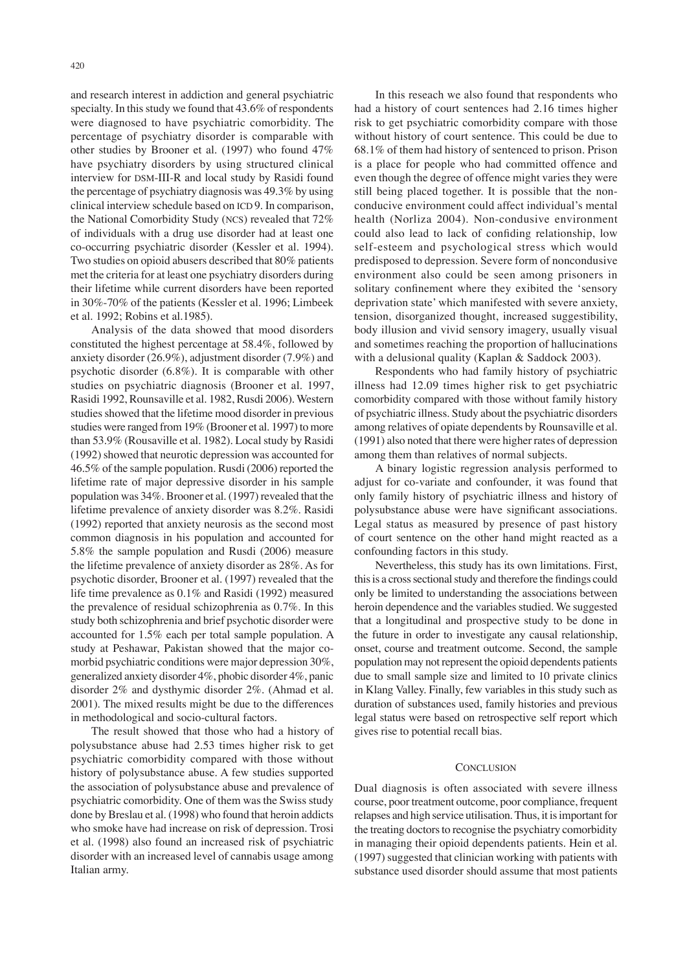and research interest in addiction and general psychiatric specialty. In this study we found that 43.6% of respondents were diagnosed to have psychiatric comorbidity. The percentage of psychiatry disorder is comparable with other studies by Brooner et al. (1997) who found 47% have psychiatry disorders by using structured clinical interview for DSM-III-R and local study by Rasidi found the percentage of psychiatry diagnosis was 49.3% by using clinical interview schedule based on ICD 9. In comparison, the National Comorbidity Study (NCS) revealed that 72% of individuals with a drug use disorder had at least one co-occurring psychiatric disorder (Kessler et al. 1994). Two studies on opioid abusers described that 80% patients met the criteria for at least one psychiatry disorders during their lifetime while current disorders have been reported in 30%-70% of the patients (Kessler et al. 1996; Limbeek et al. 1992; Robins et al.1985).

Analysis of the data showed that mood disorders constituted the highest percentage at 58.4%, followed by anxiety disorder (26.9%), adjustment disorder (7.9%) and psychotic disorder (6.8%). It is comparable with other studies on psychiatric diagnosis (Brooner et al. 1997, Rasidi 1992, Rounsaville et al. 1982, Rusdi 2006). Western studies showed that the lifetime mood disorder in previous studies were ranged from 19% (Brooner et al. 1997) to more than 53.9% (Rousaville et al. 1982). Local study by Rasidi (1992) showed that neurotic depression was accounted for 46.5% of the sample population. Rusdi (2006) reported the lifetime rate of major depressive disorder in his sample population was 34%. Brooner et al. (1997) revealed that the lifetime prevalence of anxiety disorder was 8.2%. Rasidi (1992) reported that anxiety neurosis as the second most common diagnosis in his population and accounted for 5.8% the sample population and Rusdi (2006) measure the lifetime prevalence of anxiety disorder as 28%. As for psychotic disorder, Brooner et al. (1997) revealed that the life time prevalence as 0.1% and Rasidi (1992) measured the prevalence of residual schizophrenia as 0.7%. In this study both schizophrenia and brief psychotic disorder were accounted for 1.5% each per total sample population. A study at Peshawar, Pakistan showed that the major comorbid psychiatric conditions were major depression 30%, generalized anxiety disorder 4%, phobic disorder 4%, panic disorder 2% and dysthymic disorder 2%. (Ahmad et al. 2001). The mixed results might be due to the differences in methodological and socio-cultural factors.

The result showed that those who had a history of polysubstance abuse had 2.53 times higher risk to get psychiatric comorbidity compared with those without history of polysubstance abuse. A few studies supported the association of polysubstance abuse and prevalence of psychiatric comorbidity. One of them was the Swiss study done by Breslau et al. (1998) who found that heroin addicts who smoke have had increase on risk of depression. Trosi et al. (1998) also found an increased risk of psychiatric disorder with an increased level of cannabis usage among Italian army.

 In this reseach we also found that respondents who had a history of court sentences had 2.16 times higher risk to get psychiatric comorbidity compare with those without history of court sentence. This could be due to 68.1% of them had history of sentenced to prison. Prison is a place for people who had committed offence and even though the degree of offence might varies they were still being placed together. It is possible that the nonconducive environment could affect individual's mental health (Norliza 2004). Non-condusive environment could also lead to lack of confiding relationship, low self-esteem and psychological stress which would predisposed to depression. Severe form of noncondusive environment also could be seen among prisoners in solitary confinement where they exibited the 'sensory deprivation state' which manifested with severe anxiety, tension, disorganized thought, increased suggestibility, body illusion and vivid sensory imagery, usually visual and sometimes reaching the proportion of hallucinations with a delusional quality (Kaplan & Saddock 2003).

 Respondents who had family history of psychiatric illness had 12.09 times higher risk to get psychiatric comorbidity compared with those without family history of psychiatric illness. Study about the psychiatric disorders among relatives of opiate dependents by Rounsaville et al. (1991) also noted that there were higher rates of depression among them than relatives of normal subjects.

A binary logistic regression analysis performed to adjust for co-variate and confounder, it was found that only family history of psychiatric illness and history of polysubstance abuse were have significant associations. Legal status as measured by presence of past history of court sentence on the other hand might reacted as a confounding factors in this study.

 Nevertheless, this study has its own limitations. First, this is a cross sectional study and therefore the findings could only be limited to understanding the associations between heroin dependence and the variables studied. We suggested that a longitudinal and prospective study to be done in the future in order to investigate any causal relationship, onset, course and treatment outcome. Second, the sample population may not represent the opioid dependents patients due to small sample size and limited to 10 private clinics in Klang Valley. Finally, few variables in this study such as duration of substances used, family histories and previous legal status were based on retrospective self report which gives rise to potential recall bias.

#### **CONCLUSION**

Dual diagnosis is often associated with severe illness course, poor treatment outcome, poor compliance, frequent relapses and high service utilisation. Thus, it is important for the treating doctors to recognise the psychiatry comorbidity in managing their opioid dependents patients. Hein et al. (1997) suggested that clinician working with patients with substance used disorder should assume that most patients